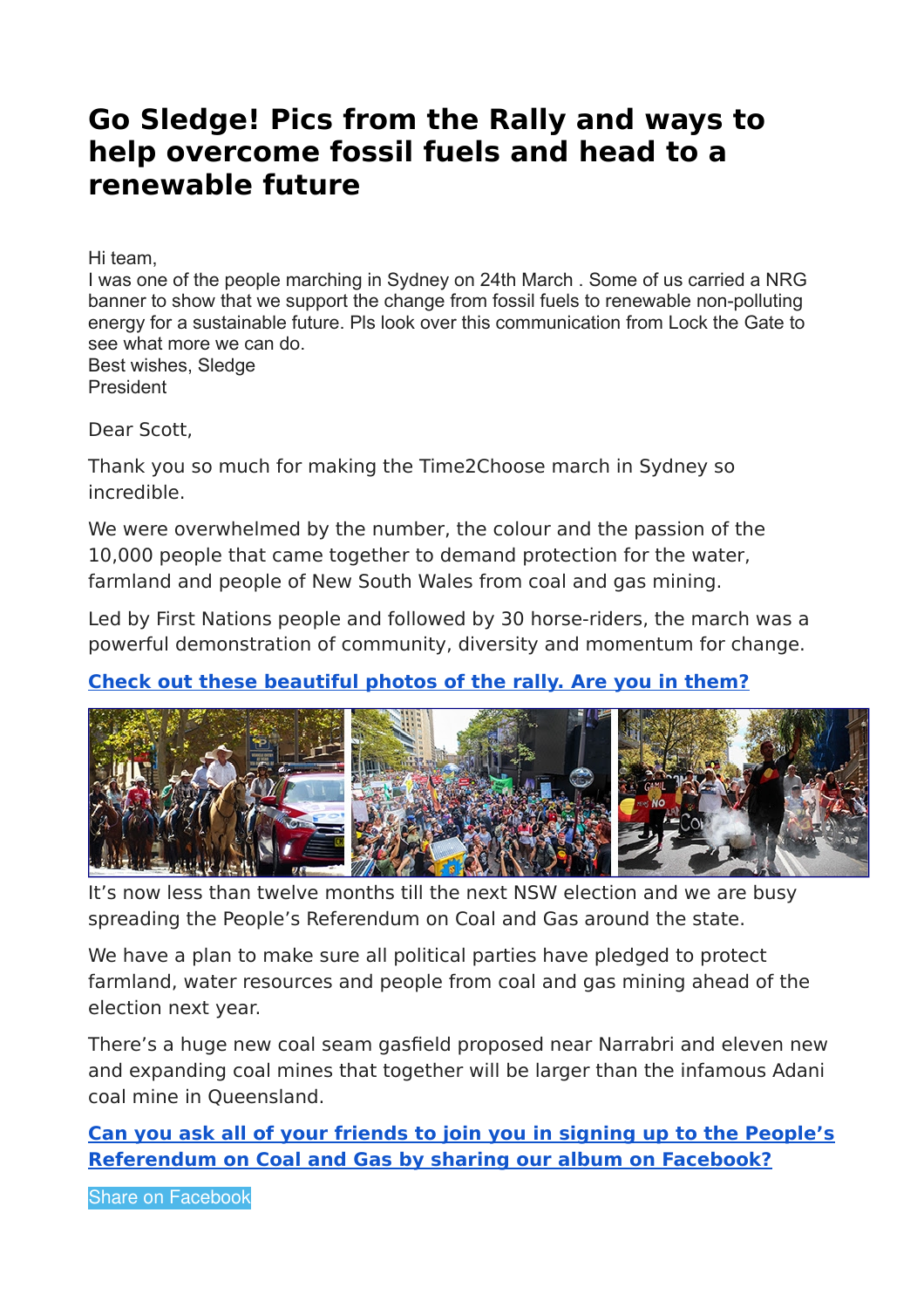## **Go Sledge! Pics from the Rally and ways to help overcome fossil fuels and head to a renewable future**

Hi team,

I was one of the people marching in Sydney on 24th March . Some of us carried a NRG banner to show that we support the change from fossil fuels to renewable non-polluting energy for a sustainable future. Pls look over this communication from Lock the Gate to see what more we can do. Best wishes, Sledge

President

Dear Scott,

Thank you so much for making the Time2Choose march in Sydney so incredible.

We were overwhelmed by the number, the colour and the passion of the 10,000 people that came together to demand protection for the water, farmland and people of New South Wales from coal and gas mining.

Led by First Nations people and followed by 30 horse-riders, the march was a powerful demonstration of community, diversity and momentum for change.

## **[Check out these beautiful photos of the rally. Are you in them?](http://www.lockthegate.org.au/r?u=https%3A%2F%2Fwww.facebook.com%2Fpg%2FLock.The.Gate.Alliance%2Fphotos%2F%3Ftab%3Dalbum%26album_id%3D2018990958172961&e=2bcfcdc8a80de4fe4545eeb8daf0c7657b6e21dd&utm_source=lockthegate&utm_medium=email&utm_campaign=t2c_thanks&n=1)**



It's now less than twelve months till the next NSW election and we are busy spreading the People's Referendum on Coal and Gas around the state.

We have a plan to make sure all political parties have pledged to protect farmland, water resources and people from coal and gas mining ahead of the election next year.

There's a huge new coal seam gasfield proposed near Narrabri and eleven new and expanding coal mines that together will be larger than the infamous Adani coal mine in Queensland.

**[Can you ask all of your friends to join you in signing up to the People's](http://www.lockthegate.org.au/r?u=https%3A%2F%2Fwww.facebook.com%2Fsharer%2Fsharer.php%3Fu%3Dhttps%253A%2F%2Fwww.facebook.com%2Fmedia%2Fset%2F%3Fset%3Da.2018990958172961.1073741847.149255515146524%2526type%3D1%2526l%3Da1abef7ddd&e=2bcfcdc8a80de4fe4545eeb8daf0c7657b6e21dd&utm_source=lockthegate&utm_medium=email&utm_campaign=t2c_thanks&n=3) [Referendum on Coal and Gas by sharing our album on Facebook?](http://www.lockthegate.org.au/r?u=https%3A%2F%2Fwww.facebook.com%2Fsharer%2Fsharer.php%3Fu%3Dhttps%253A%2F%2Fwww.facebook.com%2Fmedia%2Fset%2F%3Fset%3Da.2018990958172961.1073741847.149255515146524%2526type%3D1%2526l%3Da1abef7ddd&e=2bcfcdc8a80de4fe4545eeb8daf0c7657b6e21dd&utm_source=lockthegate&utm_medium=email&utm_campaign=t2c_thanks&n=3)**

[Share on Facebook](http://www.lockthegate.org.au/r?u=https%3A%2F%2Fwww.facebook.com%2Fsharer%2Fsharer.php%3Fu%3Dhttps%253A%2F%2Fwww.facebook.com%2Fpg%2FLock.The.Gate.Alliance%2Fphotos%2F%3Ftab%3Dalbum%2526album_id%3D2018990958172961&e=2bcfcdc8a80de4fe4545eeb8daf0c7657b6e21dd&utm_source=lockthegate&utm_medium=email&utm_campaign=t2c_thanks&n=4)